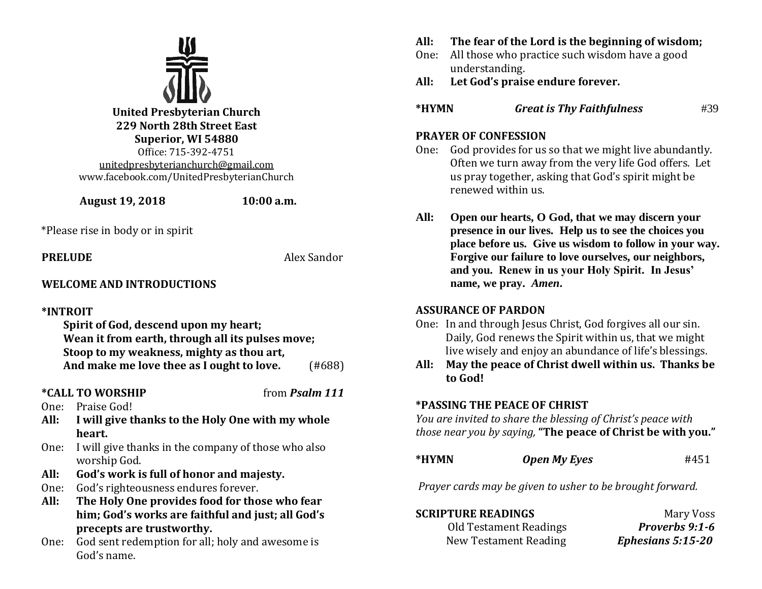

**United Presbyterian Church 229 North 28th Street East Superior, WI 54880** Office: 715-392-4751 [unitedpresbyterianchurch@gmail.com](mailto:unitedpresbyterianchurch@gmail.com) www.facebook.com/UnitedPresbyterianChurch

 **August 19, 2018 10:00 a.m.**

\*Please rise in body or in spirit

**PRELUDE** Alex Sandor

# **WELCOME AND INTRODUCTIONS**

#### **\*INTROIT**

**Spirit of God, descend upon my heart; Wean it from earth, through all its pulses move; Stoop to my weakness, mighty as thou art, And make me love thee as I ought to love.** (#688)

# **\*CALL TO WORSHIP** from *Psalm 111*

- One: Praise God!
- **All: I will give thanks to the Holy One with my whole heart.**
- One: I will give thanks in the company of those who also worship God.
- **All: God's work is full of honor and majesty.**
- One: God's righteousness endures forever.
- **All: The Holy One provides food for those who fear him; God's works are faithful and just; all God's precepts are trustworthy.**
- One: God sent redemption for all; holy and awesome is God's name.
- **All: The fear of the Lord is the beginning of wisdom;**
- One: All those who practice such wisdom have a good understanding.
- **All: Let God's praise endure forever.**
- **\*HYMN** *Great is Thy Faithfulness* #39

# **PRAYER OF CONFESSION**

- One: God provides for us so that we might live abundantly. Often we turn away from the very life God offers. Let us pray together, asking that God's spirit might be renewed within us.
- **All: Open our hearts, O God, that we may discern your presence in our lives. Help us to see the choices you place before us. Give us wisdom to follow in your way. Forgive our failure to love ourselves, our neighbors, and you. Renew in us your Holy Spirit. In Jesus' name, we pray.** *Amen***.**

# **ASSURANCE OF PARDON**

- One: In and through Jesus Christ, God forgives all our sin. Daily, God renews the Spirit within us, that we might live wisely and enjoy an abundance of life's blessings.
- **All: May the peace of Christ dwell within us. Thanks be to God!**

# **\*PASSING THE PEACE OF CHRIST**

*You are invited to share the blessing of Christ's peace with those near you by saying,* **"The peace of Christ be with you."** 

| *HYMN | <b>Open My Eyes</b> | #451 |
|-------|---------------------|------|
|       |                     |      |

*Prayer cards may be given to usher to be brought forward.*

| <b>SCRIPTURE READINGS</b> | Mary Voss             |
|---------------------------|-----------------------|
| Old Testament Readings    | <b>Proverbs 9:1-6</b> |
| New Testament Reading     | Ephesians 5:15-20     |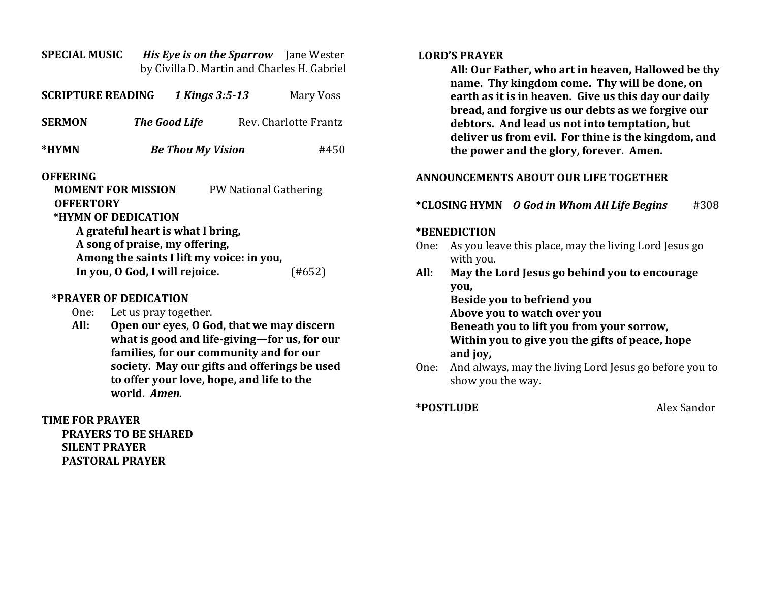| <b>SPECIAL MUSIC</b><br>His Eye is on the Sparrow Jane Wester<br>by Civilla D. Martin and Charles H. Gabriel                                                 |                          |  |                       |  |  |
|--------------------------------------------------------------------------------------------------------------------------------------------------------------|--------------------------|--|-----------------------|--|--|
| <b>SCRIPTURE READING</b>                                                                                                                                     | 1 Kings 3:5-13           |  | Mary Voss             |  |  |
| <b>SERMON</b>                                                                                                                                                | <b>The Good Life</b>     |  | Rev. Charlotte Frantz |  |  |
| *HYMN                                                                                                                                                        | <b>Be Thou My Vision</b> |  | #450                  |  |  |
| <b>OFFERING</b><br><b>MOMENT FOR MISSION</b><br><b>PW National Gathering</b><br><b>OFFERTORY</b><br>*HYMN OF DEDICATION                                      |                          |  |                       |  |  |
| A grateful heart is what I bring,<br>A song of praise, my offering,<br>Among the saints I lift my voice: in you,<br>In you, O God, I will rejoice.<br>(#652) |                          |  |                       |  |  |
| *DD (1100 AD DRDIA(010)                                                                                                                                      |                          |  |                       |  |  |

#### **\*PRAYER OF DEDICATION**

- One: Let us pray together.
- **All: Open our eyes, O God, that we may discern what is good and life-giving—for us, for our families, for our community and for our society. May our gifts and offerings be used to offer your love, hope, and life to the world.** *Amen.*

#### **TIME FOR PRAYER PRAYERS TO BE SHARED SILENT PRAYER PASTORAL PRAYER**

#### **LORD'S PRAYER**

**All: Our Father, who art in heaven, Hallowed be thy name. Thy kingdom come. Thy will be done, on earth as it is in heaven. Give us this day our daily bread, and forgive us our debts as we forgive our debtors. And lead us not into temptation, but deliver us from evil. For thine is the kingdom, and the power and the glory, forever. Amen.**

## **ANNOUNCEMENTS ABOUT OUR LIFE TOGETHER**

## **\*CLOSING HYMN** *O God in Whom All Life Begins* #308

#### **\*BENEDICTION**

- One: As you leave this place, may the living Lord Jesus go with you.
- **All**: **May the Lord Jesus go behind you to encourage you,**

**Beside you to befriend you Above you to watch over you Beneath you to lift you from your sorrow, Within you to give you the gifts of peace, hope and joy,**

One: And always, may the living Lord Jesus go before you to show you the way.

**\*POSTLUDE** Alex Sandor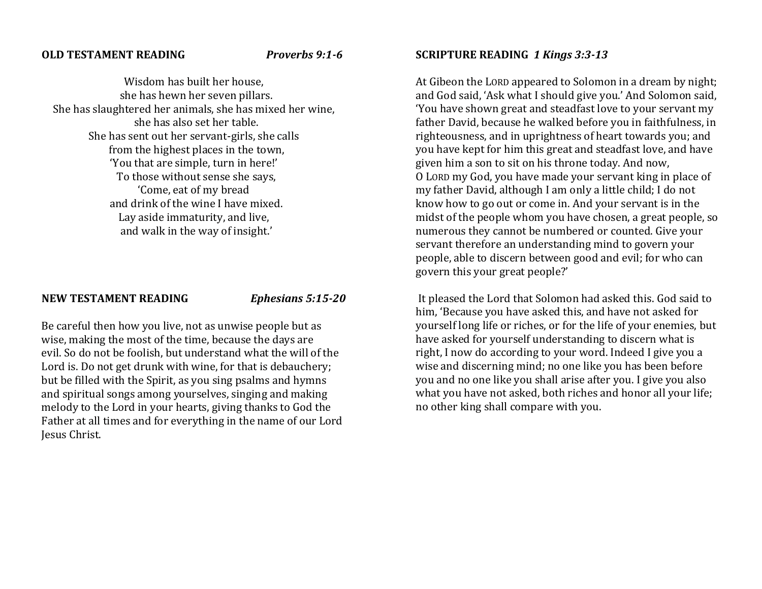#### **OLD TESTAMENT READING** *Proverbs 9:1-6*

Wisdom has built her house, she has hewn her seven pillars. She has slaughtered her animals, she has mixed her wine, she has also set her table. She has sent out her servant-girls, she calls from the highest places in the town, 'You that are simple, turn in here!' To those without sense she says, 'Come, eat of my bread and drink of the wine I have mixed. Lay aside immaturity, and live, and walk in the way of insight.'

#### **NEW TESTAMENT READING** *Ephesians 5:15-20*

Be careful then how you live, not as unwise people but as wise, making the most of the time, because the days are evil. So do not be foolish, but understand what the will of the Lord is. Do not get drunk with wine, for that is debauchery; but be filled with the Spirit, as you sing psalms and hymns and spiritual songs among yourselves, singing and making melody to the Lord in your hearts, giving thanks to God the Father at all times and for everything in the name of our Lord Jesus Christ.

### **SCRIPTURE READING** *1 Kings 3:3-13*

At Gibeon the LORD appeared to Solomon in a dream by night; and God said, 'Ask what I should give you.' And Solomon said, 'You have shown great and steadfast love to your servant my father David, because he walked before you in faithfulness, in righteousness, and in uprightness of heart towards you; and you have kept for him this great and steadfast love, and have given him a son to sit on his throne today. And now, O LORD my God, you have made your servant king in place of my father David, although I am only a little child; I do not know how to go out or come in. And your servant is in the midst of the people whom you have chosen, a great people, so numerous they cannot be numbered or counted. Give your servant therefore an understanding mind to govern your people, able to discern between good and evil; for who can govern this your great people?'

It pleased the Lord that Solomon had asked this. God said to him, 'Because you have asked this, and have not asked for yourself long life or riches, or for the life of your enemies, but have asked for yourself understanding to discern what is right, I now do according to your word. Indeed I give you a wise and discerning mind; no one like you has been before you and no one like you shall arise after you. I give you also what you have not asked, both riches and honor all your life; no other king shall compare with you.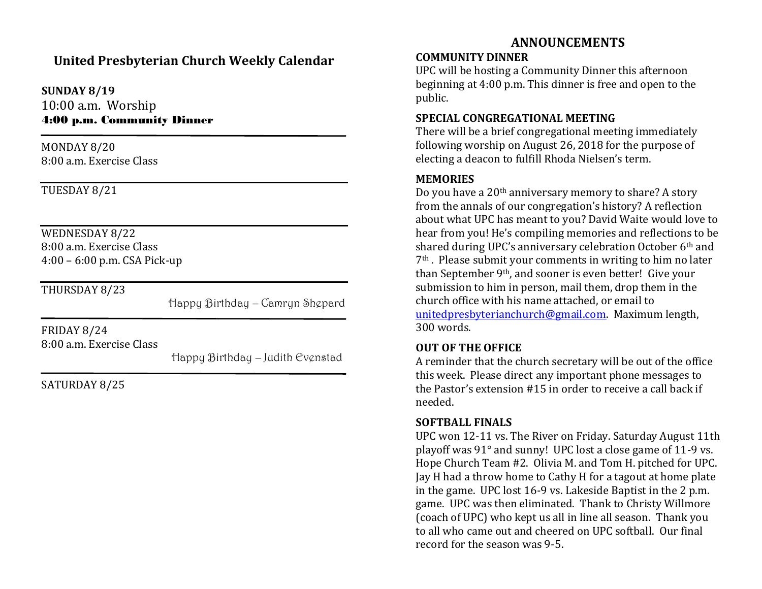# **United Presbyterian Church Weekly Calendar**

**SUNDAY 8/19** 10:00 a.m. Worship 4:00 p.m. Community Dinner

MONDAY 8/20 8:00 a.m. Exercise Class

TUESDAY 8/21

WEDNESDAY 8/22 8:00 a.m. Exercise Class 4:00 – 6:00 p.m. CSA Pick-up

 $\overline{a}$ 

THURSDAY 8/23

Happy Birthday – Camryn Shepard

FRIDAY 8/24 8:00 a.m. Exercise Class

Happy Birthday – Judith Evenstad

SATURDAY 8/25

# **ANNOUNCEMENTS**

## **COMMUNITY DINNER**

UPC will be hosting a Community Dinner this afternoon beginning at 4:00 p.m. This dinner is free and open to the public.

# **SPECIAL CONGREGATIONAL MEETING**

There will be a brief congregational meeting immediately following worship on August 26, 2018 for the purpose of electing a deacon to fulfill Rhoda Nielsen's term.

# **MEMORIES**

Do you have a 20th anniversary memory to share? A story from the annals of our congregation's history? A reflection about what UPC has meant to you? David Waite would love to hear from you! He's compiling memories and reflections to be shared during UPC's anniversary celebration October 6<sup>th</sup> and 7th . Please submit your comments in writing to him no later than September 9th, and sooner is even better! Give your submission to him in person, mail them, drop them in the church office with his name attached, or email to [unitedpresbyterianchurch@gmail.com.](mailto:unitedpresbyterianchurch@gmail.com) Maximum length, 300 words.

# **OUT OF THE OFFICE**

A reminder that the church secretary will be out of the office this week. Please direct any important phone messages to the Pastor's extension #15 in order to receive a call back if needed.

# **SOFTBALL FINALS**

UPC won 12-11 vs. The River on Friday. Saturday August 11th playoff was 91° and sunny! UPC lost a close game of 11-9 vs. Hope Church Team #2. Olivia M. and Tom H. pitched for UPC. Jay H had a throw home to Cathy H for a tagout at home plate in the game. UPC lost 16-9 vs. Lakeside Baptist in the 2 p.m. game. UPC was then eliminated. Thank to Christy Willmore (coach of UPC) who kept us all in line all season. Thank you to all who came out and cheered on UPC softball. Our final record for the season was 9-5.